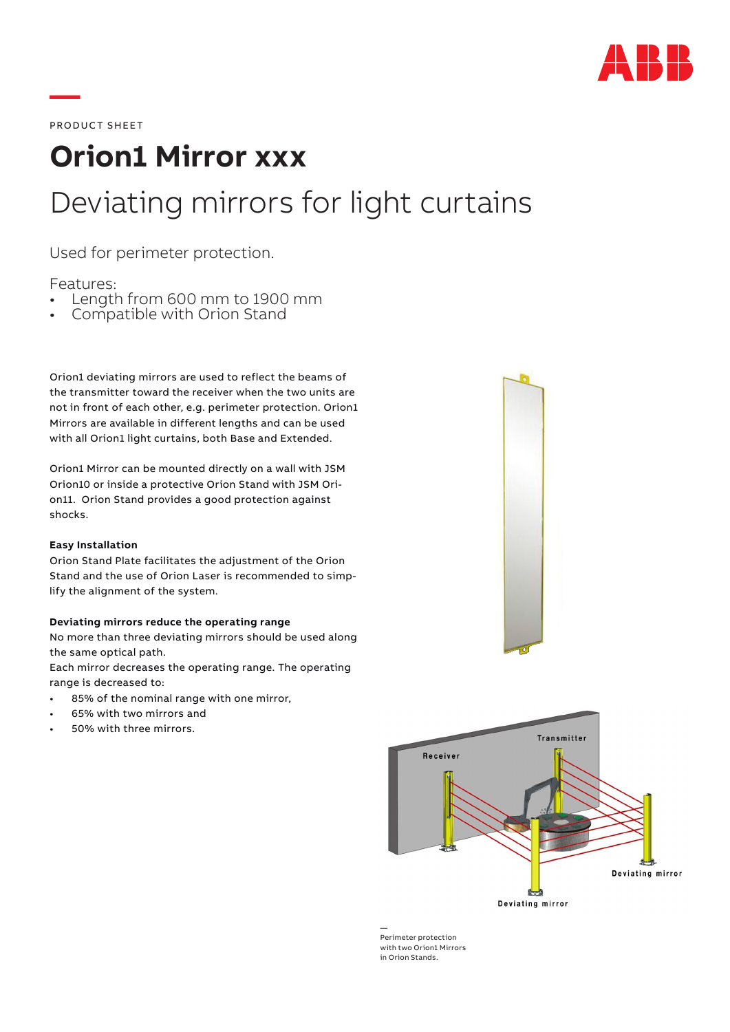

PRODUCT SHEET

**—**

# **Orion1 Mirror xxx** Deviating mirrors for light curtains

Used for perimeter protection.

Features:

- Length from 600 mm to 1900 mm<br>Compatible with Orion Stand
- 

Orion1 deviating mirrors are used to reflect the beams of the transmitter toward the receiver when the two units are not in front of each other, e.g. perimeter protection. Orion1 Mirrors are available in different lengths and can be used with all Orion1 light curtains, both Base and Extended.

Orion1 Mirror can be mounted directly on a wall with JSM Orion10 or inside a protective Orion Stand with JSM Orion11. Orion Stand provides a good protection against shocks.

## **Easy Installation**

Orion Stand Plate facilitates the adjustment of the Orion Stand and the use of Orion Laser is recommended to simplify the alignment of the system.

## **Deviating mirrors reduce the operating range**

No more than three deviating mirrors should be used along the same optical path.

Each mirror decreases the operating range. The operating range is decreased to:

- 85% of the nominal range with one mirror,
- 65% with two mirrors and
- 50% with three mirrors.





— Perimeter protection with two Orion1 Mirrors in Orion Stands.